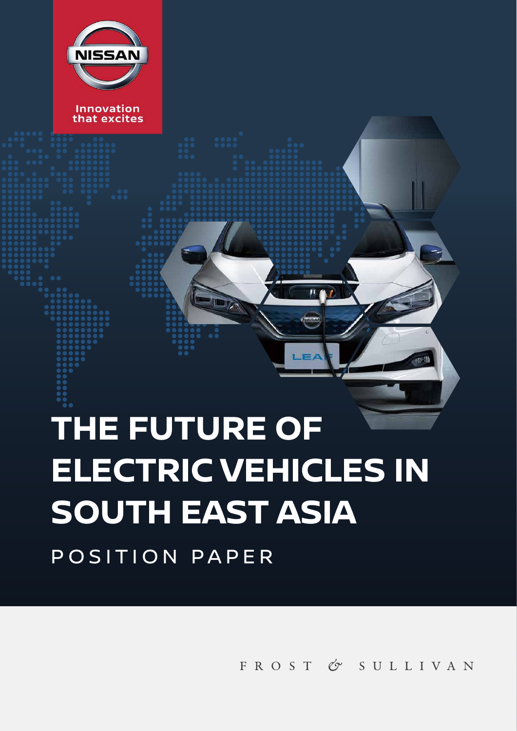

**Innovation** that excites

# **THE FUTURE OF ELECTRIC VEHICLES IN SOUTH EAST ASIA**

POSITION PAPER

FROST & SULLIVAN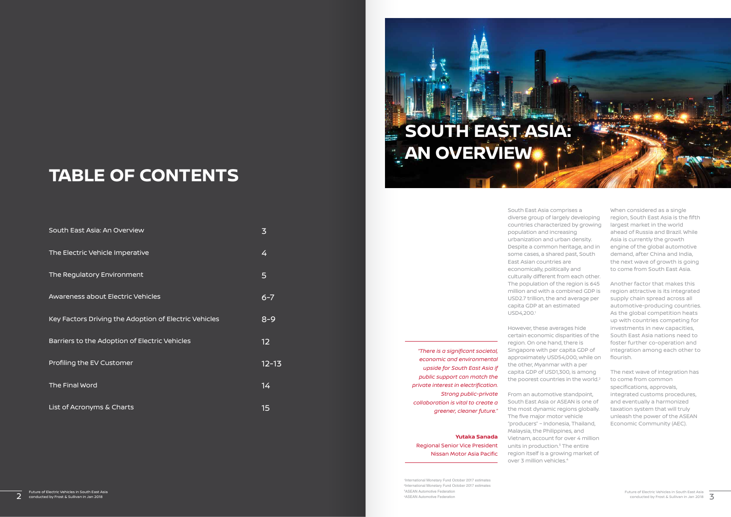# **SOUTH EAST ASIA: AN OVERVIEW**

South East Asia comprises a diverse group of largely developing countries characterized by growing population and increasing urbanization and urban density. Despite a common heritage, and in some cases, a shared past, South East Asian countries are economically, politically and culturally different from each other. The population of the region is 645 million and with a combined GDP is USD2.7 trillion, the and average per capita GDP at an estimated USD4,200.<sup>1</sup>

However, these averages hide certain economic disparities of the region. On one hand, there is Singapore with per capita GDP of approximately USD54,000, while on the other, Myanmar with a per capita GDP of USD1,300, is among the poorest countries in the world.<sup>2</sup>

Another factor that makes this region attractive is its integrated supply chain spread across all automotive-producing countries. As the global competition heats up with countries competing for investments in new capacities, South East Asia nations need to foster further co-operation and integration among each other to flourish.

From an automotive standpoint, South East Asia or ASEAN is one of the most dynamic regions globally. The five major motor vehicle "producers" – Indonesia, Thailand, Malaysia, the Philippines, and Vietnam, account for over 4 million units in production.<sup>3</sup> The entire region itself is a growing market of over 3 million vehicles.4

When considered as a single region, South East Asia is the fifth largest market in the world ahead of Russia and Brazil. While Asia is currently the growth engine of the global automotive demand, after China and India, the next wave of growth is going to come from South East Asia.

**Yutaka Sanada** Regional Senior Vice President **Nissan Motor Asia Pacific** 



The next wave of integration has to come from common specifications, approvals, integrated customs procedures, and eventually a harmonized taxation system that will truly unleash the power of the ASEAN Economic Community (AEC).

### **TABLE OF CONTENTS**

 International Monetary Fund October 2017 estimates International Monetary Fund October 2017 estimates ASEAN Automotive Federation ASEAN Automotive Federation

| South East Asia: An Overview                          | 3               |
|-------------------------------------------------------|-----------------|
| The Electric Vehicle Imperative                       | 4               |
| The Regulatory Environment                            | 5               |
| <b>Awareness about Electric Vehicles</b>              | $6 - 7$         |
| Key Factors Driving the Adoption of Electric Vehicles | $8 - 9$         |
| Barriers to the Adoption of Electric Vehicles         | 12 <sup>2</sup> |
| Profiling the EV Customer                             | $12 - 1$        |
| The Final Word                                        | 14              |
| List of Acronyms & Charts                             | 15              |

12-13

*"There is a signicant societal, economic and environmental upside for South East Asia if public support can match the private interest in electrification. Strong public-private collaboration is vital to create a greener, cleaner future."*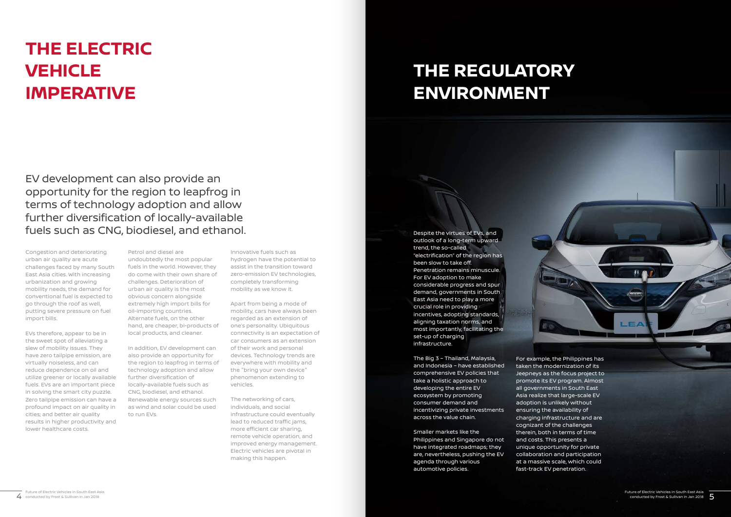## **THE ELECTRIC VEHICLE IMPERATIVE**

### **THE REGULATORY ENVIRONMENT**

EV development can also provide an opportunity for the region to leapfrog in terms of technology adoption and allow further diversification of locally-available fuels such as CNG, biodiesel, and ethanol.

Congestion and deteriorating urban air quality are acute challenges faced by many South East Asia cities. With increasing urbanization and growing mobility needs, the demand for conventional fuel is expected to go through the roof as well, putting severe pressure on fuel import bills.

EVs therefore, appear to be in the sweet spot of alleviating a slew of mobility issues. They have zero tailpipe emission, are virtually noiseless, and can reduce dependence on oil and utilize greener or locally available fuels. EVs are an important piece in solving the smart city puzzle. Zero tailpipe emission can have a profound impact on air quality in cities; and better air quality results in higher productivity and lower healthcare costs.

Petrol and diesel are undoubtedly the most popular fuels in the world. However, they do come with their own share of challenges. Deterioration of urban air quality is the most obvious concern alongside extremely high import bills for oil-importing countries. Alternate fuels, on the other hand, are cheaper, bi-products of local products, and cleaner.

In addition, EV development can also provide an opportunity for the region to leapfrog in terms of technology adoption and allow further diversification of locally-available fuels such as CNG, biodiesel, and ethanol. Renewable energy sources such as wind and solar could be used to run EVs.

Innovative fuels such as hydrogen have the potential to assist in the transition toward zero-emission EV technologies, completely transforming mobility as we know it.

Apart from being a mode of mobility, cars have always been regarded as an extension of one's personality. Ubiquitous connectivity is an expectation of car consumers as an extension of their work and personal devices. Technology trends are everywhere with mobility and the "bring your own device" phenomenon extending to vehicles.

The networking of cars, individuals, and social infrastructure could eventually lead to reduced traffic jams, more efficient car sharing, remote vehicle operation, and improved energy management. Electric vehicles are pivotal in making this happen.

Despite the virtues of EVs, and outlook of a long-term upward trend, the so-called "electrification" of the region has been slow to take off. Penetration remains minuscule. For EV adoption to make considerable progress and spur demand, governments in South East Asia need to play a more crucial role in providing incentives, adopting standards, aligning taxation norms, and most importantly, facilitating the set-up of charging infrastructure.

The Big 3 – Thailand, Malaysia, and Indonesia – have established comprehensive EV policies that take a holistic approach to developing the entire EV ecosystem by promoting consumer demand and incentivizing private investments across the value chain.

Smaller markets like the Philippines and Singapore do not have integrated roadmaps; they are, nevertheless, pushing the EV agenda through various automotive policies.

For example, the Philippines has taken the modernization of its Jeepneys as the focus project to promote its EV program. Almost all governments in South East Asia realize that large-scale EV adoption is unlikely without ensuring the availability of charging infrastructure and are cognizant of the challenges therein, both in terms of time and costs. This presents a unique opportunity for private collaboration and participation at a massive scale, which could fast-track EV penetration.



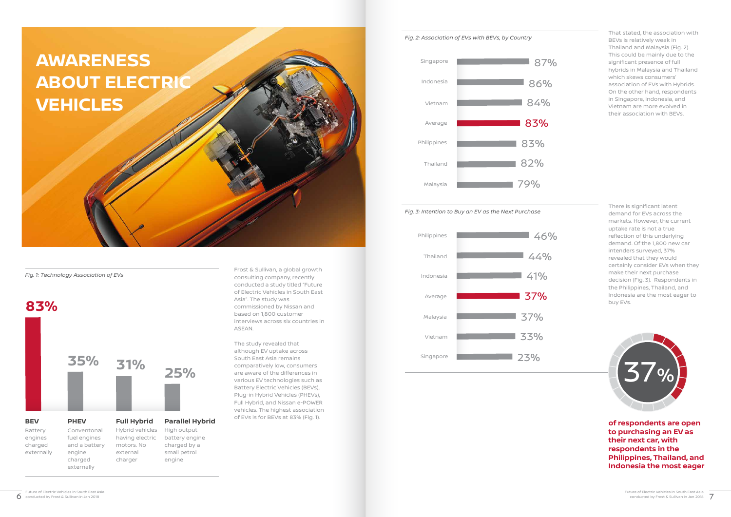*Fig. 1: Technology Association of EVs*

That stated, the association with BEVs is relatively weak in Thailand and Malaysia (Fig. 2). This could be mainly due to the significant presence of full hybrids in Malaysia and Thailand which skews consumers' association of EVs with Hybrids. On the other hand, respondents in Singapore, Indonesia, and Vietnam are more evolved in their association with BEVs.

There is significant latent demand for EVs across the markets. However, the current uptake rate is not a true reflection of this underlying demand. Of the 1,800 new car intenders surveyed, 37% revealed that they would certainly consider EVs when they make their next purchase decision (Fig. 3). Respondents in the Philippines, Thailand, and Indonesia are the most eager to buy EVs.

#### *Fig. 2: Association of EVs with BEVs, by Country*

*Fig. 3: Intention to Buy an EV as the Next Purchase*

### **AWARENESS ABOUT ELECTRIC VEHICLES**

Frost & Sullivan, a global growth consulting company, recently conducted a study titled "Future of Electric Vehicles in South East Asia". The study was commissioned by Nissan and based on 1,800 customer interviews across six countries in ASEAN.

The study revealed that although EV uptake across South East Asia remains comparatively low, consumers are aware of the differences in various EV technologies such as Battery Electric Vehicles (BEVs), Plug-in Hybrid Vehicles (PHEVs), Full Hybrid, and Nissan e-POWER vehicles. The highest association of EVs is for BEVs at 83% (Fig. 1).

**83%**

**25% 35% 31% BEV PHEV Full Hybrid Parallel Hybrid** Battery engines charged externally Conventonal fuel engines and a battery engine charged externally Hybrid vehicles having electric motors. No external charger High output battery engine charged by a small petrol engine





Conducted by Frost & Sullivan in Jan 2018 Future of Electric Vehicles in South East Asia **6** conducted by Frost & Sullivan in Jan 2018

**of respondents are open to purchasing an EV as their next car, with respondents in the Philippines, Thailand, and Indonesia the most eager**

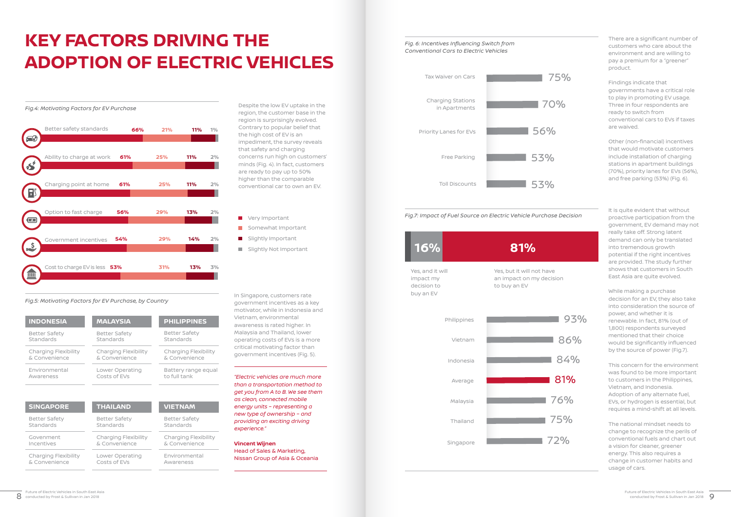*Fig.4: Motivating Factors for EV Purchase*

There are a significant number of customers who care about the environment and are willing to pay a premium for a "greener" product.

Findings indicate that governments have a critical role to play in promoting EV usage. Three in four respondents are ready to switch from conventional cars to EVs if taxes are waived.

Other (non-financial) incentives that would motivate customers include installation of charging stations in apartment buildings (70%), priority lanes for EVs (56%), and free parking (53%) (Fig. 6).

It is quite evident that without proactive participation from the government, EV demand may not really take off. Strong latent demand can only be translated into tremendous growth potential if the right incentives are provided. The study further shows that customers in South East Asia are quite evolved.

#### Fig. 6: Incentives Influencing Switch from *Conventional Cars to Electric Vehicles*

While making a purchase decision for an EV, they also take into consideration the source of power, and whether it is renewable. In fact, 81% (out of 1,800) respondents surveyed mentioned that their choice would be significantly influenced by the source of power (Fig.7).

This concern for the environment was found to be more important to customers in the Philippines, Vietnam, and Indonesia. Adoption of any alternate fuel, EVs, or hydrogen is essential, but requires a mind-shift at all levels.

The national mindset needs to change to recognize the perils of conventional fuels and chart out a vision for cleaner, greener energy. This also requires a change in customer habits and usage of cars.

*Fig.7: Impact of Fuel Source on Electric Vehicle Purchase Decision* 

## **KEY FACTORS DRIVING THE ADOPTION OF ELECTRIC VEHICLES**

Despite the low EV uptake in the region, the customer base in the region is surprisingly evolved. Contrary to popular belief that the high cost of EV is an

impediment, the survey reveals that safety and charging



concerns run high on customers' minds (Fig. 4). In fact, customers are ready to pay up to 50% higher than the comparable conventional car to own an EV.

**Very Important** 

Slightly Important Somewhat Important

Slightly Not Important

*Fig.5: Motivating Factors for EV Purchase, by Country*

In Singapore, customers rate government incentives as a key motivator, while in Indonesia and Vietnam, environmental awareness is rated higher. In Malaysia and Thailand, lower operating costs of EVs is a more critical motivating factor than government incentives (Fig. 5).



| <b>INDONESIA</b>     | <b>MALAYSIA</b>      | <b>PHILIPPINES</b>   |
|----------------------|----------------------|----------------------|
| <b>Better Safety</b> | <b>Better Safety</b> | <b>Better Safety</b> |
| <b>Standards</b>     | Standards            | Standards            |
| Charging Flexibility | Charging Flexibility | Charging Flexibility |
| & Convenience        | & Convenience        | & Convenience        |
| Environmental        | Lower Operating      | Battery range equal  |
| Awareness            | Costs of EVs         | to full tank         |
|                      |                      |                      |
|                      |                      |                      |
| <b>SINGAPORE</b>     | <b>THAILAND</b>      | <b>VIETNAM</b>       |
| <b>Better Safety</b> | <b>Better Safety</b> | <b>Better Safety</b> |
| <b>Standards</b>     | Standards            | Standards            |
| Govenment            | Charging Flexibility | Charging Flexibility |
| Incentives           | & Convenience        | & Convenience        |

75%

70%





93%

72%

75%

76%

81%

84%

86%

*"Electric vehicles are much more than a transportation method to get you from A to B. We see them as clean, connected mobile energy units – representing a new type of ownership – and providing an exciting driving experience."*

### **Vincent Wijnen**

Head of Sales & Marketing, Nissan Group of Asia & Oceania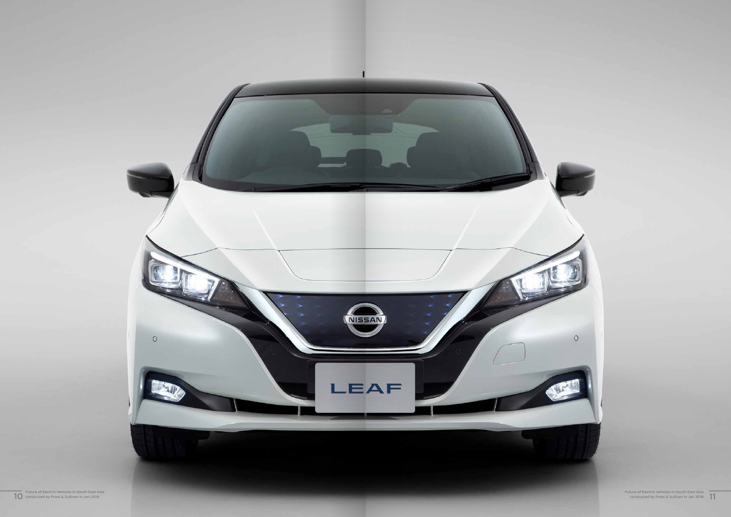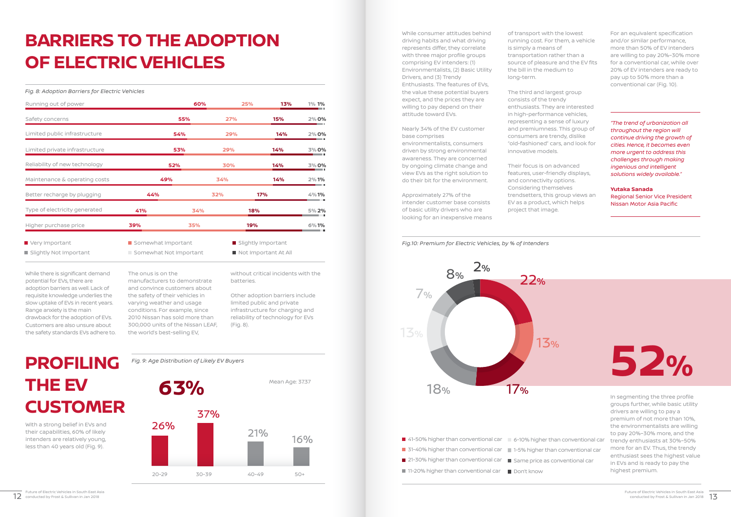### **BARRIERS TO THE ADOPTION OF ELECTRIC VEHICLES**

*Fig. 8: Adoption Barriers for Electric Vehicles*

### **PROFILING THE EV CUSTOMER**

*Fig. 9: Age Distribution of Likely EV Buyers*

With a strong belief in EVs and their capabilities, 60% of likely intenders are relatively young, less than 40 years old (Fig. 9).

of transport with the lowest running cost. For them, a vehicle is simply a means of transportation rather than a source of pleasure and the EV fits the bill in the medium to

long-term.

The third and largest group consists of the trendy enthusiasts. They are interested in high-performance vehicles, representing a sense of luxury and premiumness. This group of consumers are trendy, dislike "old-fashioned" cars, and look for innovative models.

Their focus is on advanced features, user-friendly displays, and connectivity options. Considering themselves trendsetters, this group views an EV as a product, which helps project that image.

For an equivalent specification and/or similar performance, more than 50% of EV intenders are willing to pay 20%–30% more for a conventional car, while over 20% of EV intenders are ready to pay up to 50% more than a conventional car (Fig. 10).

While there is significant demand potential for EVs, there are adoption barriers as well. Lack of requisite knowledge underlies the slow uptake of EVs in recent years. Range anxiety is the main drawback for the adoption of EVs. Customers are also unsure about the safety standards EVs adhere to.

While consumer attitudes behind driving habits and what driving represents differ, they correlate with three major profile groups comprising EV intenders: (1) Environmentalists, (2) Basic Utility Drivers, and (3) Trendy Enthusiasts. The features of EVs, the value these potential buyers expect, and the prices they are willing to pay depend on their

attitude toward EVs.

Nearly 34% of the EV customer base comprises environmentalists, consumers driven by strong environmental awareness. They are concerned by ongoing climate change and

view EVs as the right solution to do their bit for the environment. Approximately 27% of the intender customer base consists

of basic utility drivers who are looking for an inexpensive means

> In segmenting the three profile groups further, while basic utility drivers are willing to pay a premium of not more than 10%, the environmentalists are willing to pay 20%–30% more, and the trendy enthusiasts at 30%–50% more for an EV. Thus, the trendy enthusiast sees the highest value in EVs and is ready to pay the highest premium.

**Yutaka Sanada** Regional Senior Vice President Nissan Motor Asia Pacific

The onus is on the manufacturers to demonstrate and convince customers about the safety of their vehicles in varying weather and usage conditions. For example, since 2010 Nissan has sold more than 300,000 units of the Nissan LEAF, the world's best-selling EV,

without critical incidents with the batteries.

Other adoption barriers include limited public and private infrastructure for charging and reliability of technology for EVs (Fig. 8).

| Running out of power           |                        | 60% |     | 25%<br>13%           | 1% 1%    |
|--------------------------------|------------------------|-----|-----|----------------------|----------|
| Safety concerns                |                        | 55% | 27% | 15%                  | 2%0%     |
| Limited public infrastructure  | 54%                    |     | 29% | 14%                  | 2%0%     |
| Limited private infrastructure | 53%                    |     | 29% | 14%                  | $3\%$ 0% |
| Reliability of new technology  | 52%                    |     | 30% | 14%                  | 3%0%     |
| Maintenance & operating costs  | 49%                    |     | 34% | 14%                  | 2%1%     |
| Better recharge by plugging    | 44%                    |     | 32% | 17%                  | $4\%$ 1% |
| Type of electricity generated  | 41%                    | 34% |     | 18%                  | 5%2%     |
| Higher purchase price          | 39%                    | 35% |     | 19%                  | 6%1%     |
| Very Important                 | Somewhat Important     |     |     | Slightly Important   |          |
| Slightly Not Important         | Somewhat Not Important |     |     | Not Important At All |          |



*Fig.10: Premium for Electric Vehicles, by % of Intenders*







*"The trend of urbanization all throughout the region will continue driving the growth of cities. Hence, it becomes even more urgent to address this challenges through making ingenious and intelligent solutions widely available."*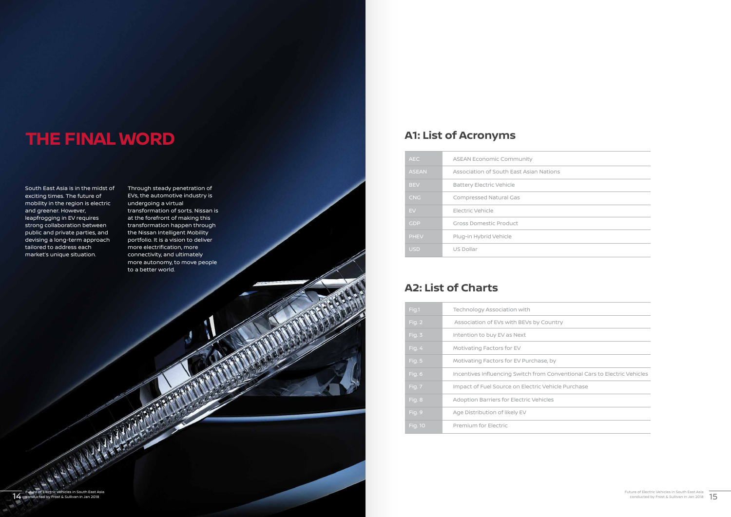### **THE FINAL WORD**

South East Asia is in the midst of exciting times. The future of mobility in the region is electric and greener. However, leapfrogging in EV requires strong collaboration between public and private parties, and devising a long-term approach tailored to address each market's unique situation.

Through steady penetration of EVs, the automotive industry is undergoing a virtual transformation of sorts. Nissan is at the forefront of making this transformation happen through the Nissan Intelligent Mobility portfolio. It is a vision to deliver more electrification, more connectivity, and ultimately more autonomy, to move people to a better world.

Fig. 2 **Association of EVs with BEVs by Country** 

**A1: List of Acronyms**

BEV Battery Electric Vehicle

**A2: List of Charts**

Fig.1 Technology Association with

Fig. 3 **Intention to buy EV as Next** 

Fig. 4 Motivating Factors for EV

Fig. 9 **Age Distribution of likely EV** 

Fig. 10 Premium for Electric

USD US Dollar

CNG Compressed Natural Gas

GDP Gross Domestic Product

PHEV Plug-in Hybrid Vehicle

EV **Electric Vehicle** 

**AEC** ASEAN Economic Community

**ASEAN Association of South East Asian Nations** 

Fig. 5 Motivating Factors for EV Purchase, by

Fig. 6 **Incentives Influencing Switch from Conventional Cars to Electric Vehicles** 

Fig. 7 **Impact of Fuel Source on Electric Vehicle Purchase** 

Fig. 8 **Adoption Barriers for Electric Vehicles**